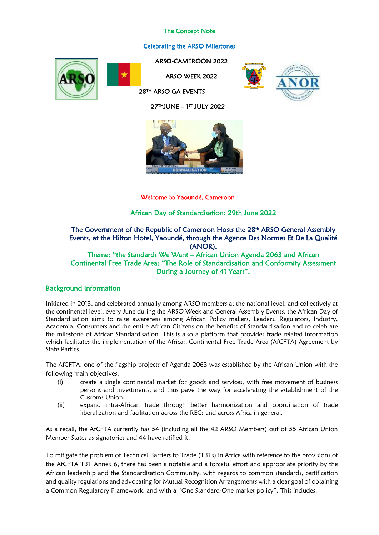# The Concept Note

# Celebrating the ARSO Milestones





ARSO-CAMEROON 2022 ARSO WEEK 2022

28TH ARSO GA EVENTS



27THJUNE – 1 ST JULY 2022



Welcome to Yaoundé, Cameroon

African Day of Standardisation: 29th June 2022

# The Government of the Republic of Cameroon Hosts the 28<sup>th</sup> ARSO General Assembly Events, at the Hilton Hotel, Yaoundé, through the Agence Des Normes Et De La Qualité (ANOR), Theme: "the Standards We Want – African Union Agenda 2063 and African

Continental Free Trade Area: "The Role of Standardisation and Conformity Assessment During a Journey of 41 Years".

# Background Information

Initiated in 2013, and celebrated annually among ARSO members at the national level, and collectively at the continental level, every June during the ARSO Week and General Assembly Events, the African Day of Standardisation aims to raise awareness among African Policy makers, Leaders, Regulators, Industry, Academia, Consumers and the entire African Citizens on the benefits of Standardisation and to celebrate the milestone of African Standardisation. This is also a platform that provides trade related information which facilitates the implementation of the African Continental Free Trade Area (AfCFTA) Agreement by State Parties.

The AfCFTA, one of the flagship projects of Agenda 2063 was established by the African Union with the following main objectives:

- (i) create a single continental market for goods and services, with free movement of business persons and investments, and thus pave the way for accelerating the establishment of the Customs Union;
- (ii) expand intra-African trade through better harmonization and coordination of trade liberalization and facilitation across the RECs and across Africa in general.

As a recall, the AfCFTA currently has 54 (including all the 42 ARSO Members) out of 55 African Union Member States as signatories and 44 have ratified it.

To mitigate the problem of Technical Barriers to Trade (TBTs) in Africa with reference to the provisions of the AfCFTA TBT Annex 6, there has been a notable and a forceful effort and appropriate priority by the African leadership and the Standardisation Community, with regards to common standards, certification and quality regulations and advocating for Mutual Recognition Arrangements with a clear goal of obtaining a Common Regulatory Framework, and with a "One Standard-One market policy". This includes: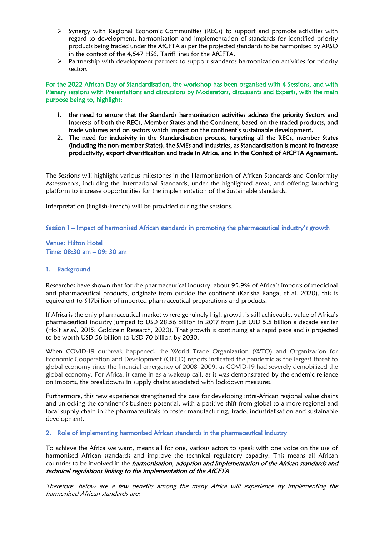- ➢ Synergy with Regional Economic Communities (RECs) to support and promote activities with regard to development, harmonisation and implementation of standards for identified priority products being traded under the AfCFTA as per the projected standards to be harmonised by ARSO in the context of the 4,547 HS6, Tariff lines for the AfCFTA.
- ➢ Partnership with development partners to support standards harmonization activities for priority sectors

For the 2022 African Day of Standardisation, the workshop has been organised with 4 Sessions, and with Plenary sessions with Presentations and discussions by Moderators, discussants and Experts, with the main purpose being to, highlight:

- 1. the need to ensure that the Standards harmonisation activities address the priority Sectors and Interests of both the RECs, Member States and the Continent, based on the traded products, and trade volumes and on sectors which impact on the continent's sustainable development.
- 2. The need for inclusivity in the Standardisation process, targeting all the RECs, member States (including the non-member States), the SMEs and Industries, as Standardisation is meant to increase productivity, export diversification and trade in Africa, and in the Context of AfCFTA Agreement.

The Sessions will highlight various milestones in the Harmonisation of African Standards and Conformity Assessments, including the International Standards, under the highlighted areas, and offering launching platform to increase opportunities for the implementation of the Sustainable standards.

Interpretation (English-French) will be provided during the sessions.

Session 1 – Impact of harmonised African standards in promoting the pharmaceutical industry's growth

Venue: Hilton Hotel Time: 08:30 am – 09: 30 am

#### 1. Background

Researches have shown that for the pharmaceutical industry, about 95.9% of Africa's imports of medicinal and pharmaceutical products, originate from outside the continent (Karisha Banga, et al. 2020), this is equivalent to \$17billion of imported pharmaceutical preparations and products.

If Africa is the only pharmaceutical market where genuinely high growth is still achievable, value of Africa's pharmaceutical industry jumped to USD 28.56 billion in 2017 from just USD 5.5 billion a decade earlier (Holt et al., 2015; Goldstein Research, 2020). That growth is continuing at a rapid pace and is projected to be worth USD 56 billion to USD 70 billion by 2030.

When COVID-19 outbreak happened, the World Trade Organization (WTO) and Organization for Economic Cooperation and Development (OECD) reports indicated the pandemic as the largest threat to global economy since the financial emergency of 2008–2009, as COVID-19 had severely demobilized the global economy. For Africa, it came in as a wakeup call, as it was demonstrated by the endemic reliance on imports, the breakdowns in supply chains associated with lockdown measures.

Furthermore, this new experience strengthened the case for developing intra-African regional value chains and unlocking the continent's business potential, with a positive shift from global to a more regional and local supply chain in the pharmaceuticals to foster manufacturing, trade, industrialisation and sustainable development.

#### 2. Role of implementing harmonised African standards in the pharmaceutical industry

To achieve the Africa we want, means all for one, various actors to speak with one voice on the use of harmonised African standards and improve the technical regulatory capacity. This means all African countries to be involved in the *harmonisation, adoption and implementation of the African standards and* technical regulations linking to the implementation of the AfCFTA

Therefore, below are a few benefits among the many Africa will experience by implementing the harmonised African standards are: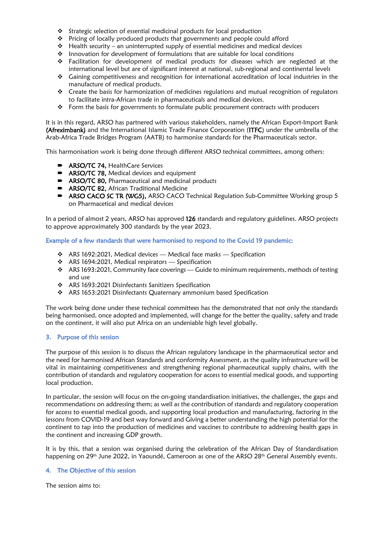- ❖ Strategic selection of essential medicinal products for local production
- ❖ Pricing of locally produced products that governments and people could afford
- ❖ Health security an uninterrupted supply of essential medicines and medical devices
- ❖ Innovation for development of formulations that are suitable for local conditions
- ❖ Facilitation for development of medical products for diseases which are neglected at the international level but are of significant interest at national, sub-regional and continental levels
- ❖ Gaining competitiveness and recognition for international accreditation of local industries in the manufacture of medical products.
- ❖ Create the basis for harmonization of medicines regulations and mutual recognition of regulators to facilitate intra-African trade in pharmaceuticals and medical devices.
- ❖ Form the basis for governments to formulate public procurement contracts with producers

It is in this regard, ARSO has partnered with various stakeholders, namely the African Export-Import Bank (Afreximbank) and the International Islamic Trade Finance Corporation (ITFC) under the umbrella of the Arab-Africa Trade Bridges Program (AATB) to harmonise standards for the Pharmaceuticals sector.

This harmonisation work is being done through different ARSO technical committees, among others:

- ARSO/TC 74, HealthCare Services
- ARSO/TC 78, Medical devices and equipment
- ARSO/TC 80, Pharmaceutical and medicinal products
- **ARSO/TC 82, African Traditional Medicine**
- ARSO CACO SC TR (WG5), ARSO CACO Technical Regulation Sub-Committee Working group 5 on Pharmacetical and medical devices

In a period of almost 2 years, ARSO has approved 126 standards and regulatory guidelines. ARSO projects to approve approximately 300 standards by the year 2023.

Example of a few standards that were harmonised to respond to the Covid 19 pandemic:

- $\cdot$  ARS 1692:2021, Medical devices Medical face masks Specification
- ❖ ARS 1694:2021, Medical respirators Specification
- ❖ ARS 1693:2021, Community face coverings Guide to minimum requirements, methods of testing and use
- ❖ ARS 1693:2021 Disinfectants Sanitizers Specification
- ❖ ARS 1653:2021 Disinfectants Quaternary ammonium based Specification

The work being done under these technical committees has the demonstrated that not only the standards being harmonised, once adopted and implemented, will change for the better the quality, safety and trade on the continent, it will also put Africa on an undeniable high level globally.

#### 3. Purpose of this session

The purpose of this session is to discuss the African regulatory landscape in the pharmaceutical sector and the need for harmonised African Standards and conformity Assessment, as the quality infrastructure will be vital in maintaining competitiveness and strengthening regional pharmaceutical supply chains, with the contribution of standards and regulatory cooperation for access to essential medical goods, and supporting local production.

In particular, the session will focus on the on-going standardisation initiatives, the challenges, the gaps and recommendations on addressing them; as well as the contribution of standards and regulatory cooperation for access to essential medical goods, and supporting local production and manufacturing, factoring in the lessons from COVID-19 and best way forward and Giving a better understanding the high potential for the continent to tap into the production of medicines and vaccines to contribute to addressing health gaps in the continent and increasing GDP growth.

It is by this, that a session was organised during the celebration of the African Day of Standardisation happening on 29<sup>th</sup> June 2022, in Yaoundé, Cameroon as one of the ARSO 28<sup>th</sup> General Assembly events.

### 4. The Objective of this session

The session aims to: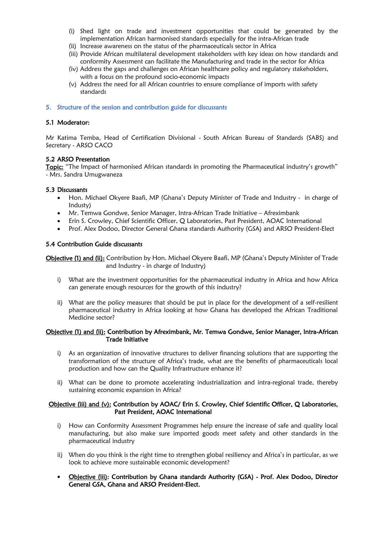- (i) Shed light on trade and investment opportunities that could be generated by the implementation African harmonised standards especially for the intra-African trade
- (ii) Increase awareness on the status of the pharmaceuticals sector in Africa
- (iii) Provide African multilateral development stakeholders with key ideas on how standards and conformity Assessment can facilitate the Manufacturing and trade in the sector for Africa
- (iv) Address the gaps and challenges on African healthcare policy and regulatory stakeholders, with a focus on the profound socio-economic impacts
- (v) Address the need for all African countries to ensure compliance of imports with safety standards

### 5. Structure of the session and contribution guide for discussants

### 5.1 Moderator:

Mr Katima Temba, Head of Certification Divisional - South African Bureau of Standards (SABS) and Secretary - ARSO CACO

### 5.2 ARSO Presentation

Topic: "The Impact of harmonised African standards in promoting the Pharmaceutical industry's growth" - Mrs. Sandra Umugwaneza

#### 5.3 Discussants

- Hon. Michael Okyere Baafi, MP (Ghana's Deputy Minister of Trade and Industry in charge of Industy)
- Mr. Temwa Gondwe, Senior Manager, Intra-African Trade Initiative Afreximbank
- Erin S. Crowley, Chief Scientific Officer, Q Laboratories, Past President, AOAC International
- Prof. Alex Dodoo, Director General Ghana standards Authority (GSA) and ARSO President-Elect

#### 5.4 Contribution Guide discussants

Objective (1) and (ii): Contribution by Hon. Michael Okyere Baafi, MP (Ghana's Deputy Minister of Trade and Industry - in charge of Industry)

- i) What are the investment opportunities for the pharmaceutical industry in Africa and how Africa can generate enough resources for the growth of this industry?
- ii) What are the policy measures that should be put in place for the development of a self-resilient pharmaceutical industry in Africa looking at how Ghana has developed the African Traditional Medicine sector?

### Objective (1) and (ii): Contribution by Afreximbank, Mr. Temwa Gondwe, Senior Manager, Intra-African Trade Initiative

- i) As an organization of innovative structures to deliver financing solutions that are supporting the transformation of the structure of Africa's trade, what are the benefits of pharmaceuticals local production and how can the Quality Infrastructure enhance it?
- ii) What can be done to promote accelerating industrialization and intra-regional trade, thereby sustaining economic expansion in Africa?

### Objective (iii) and (v): Contribution by AOAC/ Erin S. Crowley, Chief Scientific Officer, Q Laboratories, Past President, AOAC International

- i) How can Conformity Assessment Programmes help ensure the increase of safe and quality local manufacturing, but also make sure imported goods meet safety and other standards in the pharmaceutical industry
- ii) When do you think is the right time to strengthen global resiliency and Africa's in particular, as we look to achieve more sustainable economic development?
- Objective (iii): Contribution by Ghana standards Authority (GSA) Prof. Alex Dodoo, Director General GSA, Ghana and ARSO President-Elect.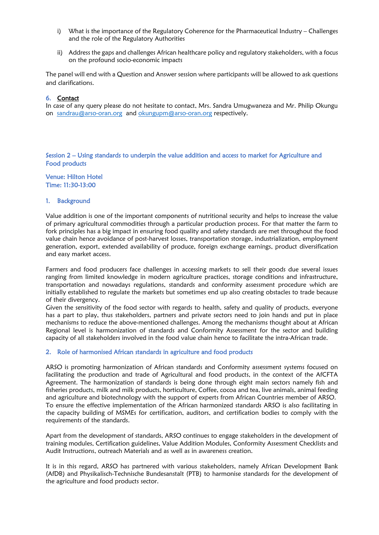- i) What is the importance of the Regulatory Coherence for the Pharmaceutical Industry Challenges and the role of the Regulatory Authorities
- ii) Address the gaps and challenges African healthcare policy and regulatory stakeholders, with a focus on the profound socio-economic impacts

The panel will end with a Question and Answer session where participants will be allowed to ask questions and clarifications.

#### 6. Contact

In case of any query please do not hesitate to contact, Mrs. Sandra Umugwaneza and Mr. Philip Okungu on [sandrau@arso-oran.org](mailto:sandrau@arso-oran.org) and [okungupm@arso-oran.org](mailto:okungupm@arso-oran.org) respectively.

### Session 2 – Using standards to underpin the value addition and access to market for Agriculture and Food products

Venue: Hilton Hotel Time: 11:30-13:00

#### 1. Background

Value addition is one of the important components of nutritional security and helps to increase the value of primary agricultural commodities through a particular production process. For that matter the farm to fork principles has a big impact in ensuring food quality and safety standards are met throughout the food value chain hence avoidance of post-harvest losses, transportation storage, industrialization, employment generation, export, extended availability of produce, foreign exchange earnings, product diversification and easy market access.

Farmers and food producers face challenges in accessing markets to sell their goods due several issues ranging from limited knowledge in modern agriculture practices, storage conditions and infrastructure, transportation and nowadays regulations, standards and conformity assessment procedure which are initially established to regulate the markets but sometimes end up also creating obstacles to trade because of their divergency.

Given the sensitivity of the food sector with regards to health, safety and quality of products, everyone has a part to play, thus stakeholders, partners and private sectors need to join hands and put in place mechanisms to reduce the above-mentioned challenges. Among the mechanisms thought about at African Regional level is harmonization of standards and Conformity Assessment for the sector and building capacity of all stakeholders involved in the food value chain hence to facilitate the intra-African trade.

#### 2. Role of harmonised African standards in agriculture and food products

ARSO is promoting harmonization of African standards and Conformity assessment systems focused on facilitating the production and trade of Agricultural and food products, in the context of the AfCFTA Agreement. The harmonization of standards is being done through eight main sectors namely fish and fisheries products, milk and milk products, horticulture, Coffee, cocoa and tea, live animals, animal feeding and agriculture and biotechnology with the support of experts from African Countries member of ARSO. To ensure the effective implementation of the African harmonized standards ARSO is also facilitating in the capacity building of MSMEs for certification, auditors, and certification bodies to comply with the requirements of the standards.

Apart from the development of standards, ARSO continues to engage stakeholders in the development of training modules, Certification guidelines, Value Addition Modules, Conformity Assessment Checklists and Audit Instructions, outreach Materials and as well as in awareness creation.

It is in this regard, ARSO has partnered with various stakeholders, namely African Development Bank (AfDB) and Physikalisch-Technische Bundesanstalt (PTB) to harmonise standards for the development of the agriculture and food products sector.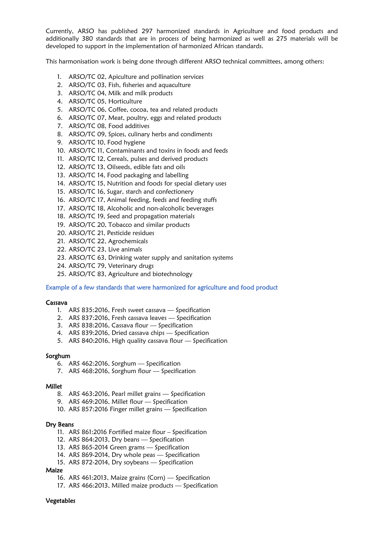Currently, ARSO has published 297 harmonized standards in Agriculture and food products and additionally 380 standards that are in process of being harmonized as well as 275 materials will be developed to support in the implementation of harmonized African standards.

This harmonisation work is being done through different ARSO technical committees, among others:

- 1. ARSO/TC 02, Apiculture and pollination services
- 2. ARSO/TC 03, Fish, fisheries and aquaculture
- 3. ARSO/TC 04, Milk and milk products
- 4. ARSO/TC 05, Horticulture
- 5. ARSO/TC 06, Coffee, cocoa, tea and related products
- 6. ARSO/TC 07, Meat, poultry, eggs and related products
- 7. ARSO/TC 08, Food additives
- 8. ARSO/TC 09, Spices, culinary herbs and condiments
- 9. ARSO/TC 10, Food hygiene
- 10. ARSO/TC 11, Contaminants and toxins in foods and feeds
- 11. ARSO/TC 12, Cereals, pulses and derived products
- 12. ARSO/TC 13, Oilseeds, edible fats and oils
- 13. ARSO/TC 14, Food packaging and labelling
- 14. ARSO/TC 15, Nutrition and foods for special dietary uses
- 15. ARSO/TC 16, Sugar, starch and confectionery
- 16. ARSO/TC 17, Animal feeding, feeds and feeding stuffs
- 17. ARSO/TC 18, Alcoholic and non-alcoholic beverages
- 18. ARSO/TC 19, Seed and propagation materials
- 19. ARSO/TC 20, Tobacco and similar products
- 20. ARSO/TC 21, Pesticide residues
- 21. ARSO/TC 22, Agrochemicals
- 22. ARSO/TC 23, Live animals
- 23. ARSO/TC 63, Drinking water supply and sanitation systems
- 24. ARSO/TC 79, Veterinary drugs
- 25. ARSO/TC 83, Agriculture and biotechnology

#### Example of a few standards that were harmonized for agriculture and food product

#### Cassava

- 1. ARS 835:2016, Fresh sweet cassava Specification
- 2. ARS 837:2016, Fresh cassava leaves Specification
- 3. ARS 838:2016, Cassava flour Specification
- 4. ARS 839:2016, Dried cassava chips Specification
- 5. ARS 840:2016, High quality cassava flour Specification

#### Sorghum

- 6. ARS 462:2016, Sorghum Specification
- 7. ARS 468:2016, Sorghum flour Specification

#### Millet

- 8. ARS 463:2016, Pearl millet grains Specification
- 9. ARS 469:2016, Millet flour Specification
- 10. ARS 857:2016 Finger millet grains Specification

#### Dry Beans

- 11. ARS 861:2016 Fortified maize flour Specification
- 12. ARS 864:2013, Dry beans Specification
- 13. ARS 865-2014 Green grams Specification
- 14. ARS 869-2014, Dry whole peas Specification
- 15. ARS 872-2014, Dry soybeans Specification

#### Maize

- 16. ARS 461:2013, Maize grains (Corn) Specification
- 17. ARS 466:2013, Milled maize products Specification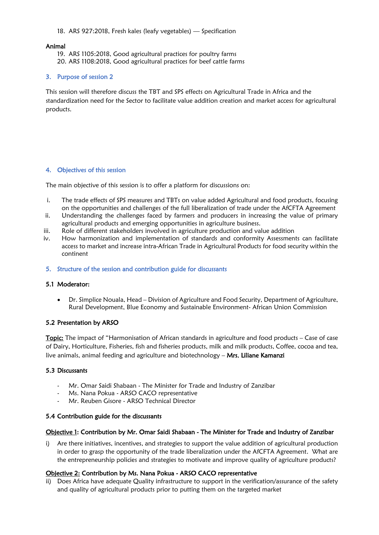### 18. ARS 927:2018, Fresh kales (leafy vegetables) — Specification

### Animal

19. ARS 1105:2018, Good agricultural practices for poultry farms 20. ARS 1108:2018, Good agricultural practices for beef cattle farms

## 3. Purpose of session 2

This session will therefore discuss the TBT and SPS effects on Agricultural Trade in Africa and the standardization need for the Sector to facilitate value addition creation and market access for agricultural products.

### 4. Objectives of this session

The main objective of this session is to offer a platform for discussions on:

- i. The trade effects of SPS measures and TBTs on value added Agricultural and food products, focusing on the opportunities and challenges of the full liberalization of trade under the AfCFTA Agreement
- ii. Understanding the challenges faced by farmers and producers in increasing the value of primary agricultural products and emerging opportunities in agriculture business.
- iii. Role of different stakeholders involved in agriculture production and value addition
- iv. How harmonization and implementation of standards and conformity Assessments can facilitate access to market and increase intra-African Trade in Agricultural Products for food security within the continent

### 5. Structure of the session and contribution guide for discussants

## 5.1 Moderator:

• Dr. Simplice Nouala, Head – Division of Agriculture and Food Security, Department of Agriculture, Rural Development, Blue Economy and Sustainable Environment- African Union Commission

## 5.2 Presentation by ARSO

Topic: The impact of "Harmonisation of African standards in agriculture and food products – Case of case of Dairy, Horticulture, Fisheries, fish and fisheries products, milk and milk products, Coffee, cocoa and tea, live animals, animal feeding and agriculture and biotechnology – Mrs. Liliane Kamanzi

#### 5.3 Discussants

- Mr. Omar Saidi Shabaan The Minister for Trade and Industry of Zanzibar
- Ms. Nana Pokua ARSO CACO representative
- Mr. Reuben Gisore ARSO Technical Director

#### 5.4 Contribution guide for the discussants

#### Objective 1: Contribution by Mr. Omar Saidi Shabaan - The Minister for Trade and Industry of Zanzibar

i) Are there initiatives, incentives, and strategies to support the value addition of agricultural production in order to grasp the opportunity of the trade liberalization under the AfCFTA Agreement. What are the entrepreneurship policies and strategies to motivate and improve quality of agriculture products?

## Objective 2: Contribution by Ms. Nana Pokua - ARSO CACO representative

ii) Does Africa have adequate Quality infrastructure to support in the verification/assurance of the safety and quality of agricultural products prior to putting them on the targeted market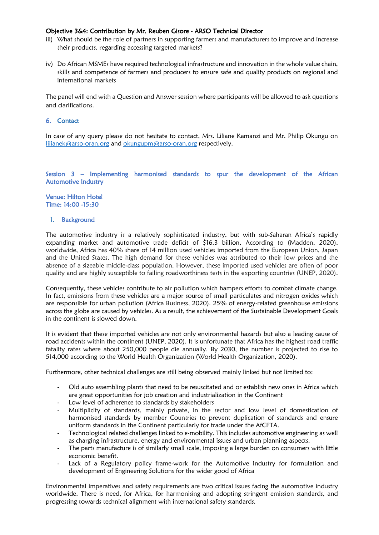### Objective 3&4: Contribution by Mr. Reuben Gisore - ARSO Technical Director

- iii) What should be the role of partners in supporting farmers and manufacturers to improve and increase their products, regarding accessing targeted markets?
- iv) Do African MSMEs have required technological infrastructure and innovation in the whole value chain, skills and competence of farmers and producers to ensure safe and quality products on regional and international markets

The panel will end with a Question and Answer session where participants will be allowed to ask questions and clarifications.

### 6. Contact

In case of any query please do not hesitate to contact, Mrs. Liliane Kamanzi and Mr. Philip Okungu on [lilianek@arso-oran.org](mailto:lilianek@arso-oran.org) and [okungupm@arso-oran.org](mailto:okungupm@arso-oran.org) respectively.

### Session 3 – Implementing harmonised standards to spur the development of the African Automotive Industry

Venue: Hilton Hotel Time: 14:00 -15:30

### 1. Background

The automotive industry is a relatively sophisticated industry, but with sub-Saharan Africa's rapidly expanding market and automotive trade deficit of \$16.3 billion, According to (Madden, 2020), worldwide, Africa has 40% share of 14 million used vehicles imported from the European Union, Japan and the United States. The high demand for these vehicles was attributed to their low prices and the absence of a sizeable middle-class population. However, these imported used vehicles are often of poor quality and are highly susceptible to failing roadworthiness tests in the exporting countries (UNEP, 2020).

Consequently, these vehicles contribute to air pollution which hampers efforts to combat climate change. In fact, emissions from these vehicles are a major source of small particulates and nitrogen oxides which are responsible for urban pollution (Africa Business, 2020). 25% of energy-related greenhouse emissions across the globe are caused by vehicles. As a result, the achievement of the Sustainable Development Goals in the continent is slowed down.

It is evident that these imported vehicles are not only environmental hazards but also a leading cause of road accidents within the continent (UNEP, 2020). It is unfortunate that Africa has the highest road traffic fatality rates where about 250,000 people die annually. By 2030, the number is projected to rise to 514,000 according to the World Health Organization (World Health Organization, 2020).

Furthermore, other technical challenges are still being observed mainly linked but not limited to:

- Old auto assembling plants that need to be resuscitated and or establish new ones in Africa which are great opportunities for job creation and industrialization in the Continent
- Low level of adherence to standards by stakeholders
- Multiplicity of standards, mainly private, in the sector and low level of domestication of harmonised standards by member Countries to prevent duplication of standards and ensure uniform standards in the Continent particularly for trade under the AfCFTA.
- Technological related challenges linked to e-mobility. This includes automotive engineering as well as charging infrastructure, energy and environmental issues and urban planning aspects.
- The parts manufacture is of similarly small scale, imposing a large burden on consumers with little economic benefit.
- Lack of a Regulatory policy frame-work for the Automotive Industry for formulation and development of Engineering Solutions for the wider good of Africa

Environmental imperatives and safety requirements are two critical issues facing the automotive industry worldwide. There is need, for Africa, for harmonising and adopting stringent emission standards, and progressing towards technical alignment with international safety standards.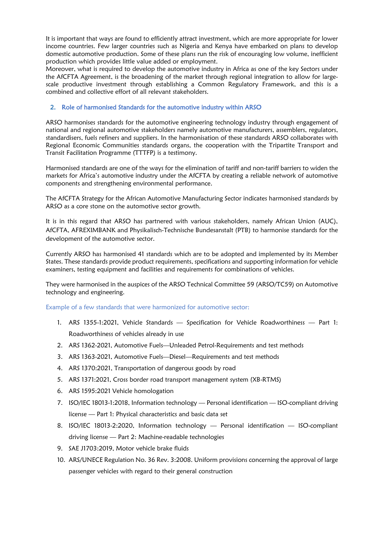It is important that ways are found to efficiently attract investment, which are more appropriate for lower income countries. Few larger countries such as Nigeria and Kenya have embarked on plans to develop domestic automotive production. Some of these plans run the risk of encouraging low volume, inefficient production which provides little value added or employment.

Moreover, what is required to develop the automotive industry in Africa as one of the key Sectors under the AfCFTA Agreement, is the broadening of the market through regional integration to allow for largescale productive investment through establishing a Common Regulatory Framework, and this is a combined and collective effort of all relevant stakeholders.

## 2. Role of harmonised Standards for the automotive industry within ARSO

ARSO harmonises standards for the automotive engineering technology industry through engagement of national and regional automotive stakeholders namely automotive manufacturers, assemblers, regulators, standardisers, fuels refiners and suppliers. In the harmonisation of these standards ARSO collaborates with Regional Economic Communities standards organs, the cooperation with the Tripartite Transport and Transit Facilitation Programme (TTTFP) is a testimony.

Harmonised standards are one of the ways for the elimination of tariff and non-tariff barriers to widen the markets for Africa's automotive industry under the AfCFTA by creating a reliable network of automotive components and strengthening environmental performance.

The AfCFTA Strategy for the African Automotive Manufacturing Sector indicates harmonised standards by ARSO as a core stone on the automotive sector growth.

It is in this regard that ARSO has partnered with various stakeholders, namely African Union (AUC), AfCFTA, AFREXIMBANK and Physikalisch-Technische Bundesanstalt (PTB) to harmonise standards for the development of the automotive sector.

Currently ARSO has harmonised 41 standards which are to be adopted and implemented by its Member States. These standards provide product requirements, specifications and supporting information for vehicle examiners, testing equipment and facilities and requirements for combinations of vehicles.

They were harmonised in the auspices of the ARSO Technical Committee 59 (ARSO/TC59) on Automotive technology and engineering.

#### Example of a few standards that were harmonized for automotive sector:

- 1. ARS 1355-1:2021, Vehicle Standards Specification for Vehicle Roadworthiness Part 1: Roadworthiness of vehicles already in use
- 2. ARS 1362-2021, Automotive Fuels—Unleaded Petrol-Requirements and test methods
- 3. ARS 1363-2021, Automotive Fuels—Diesel—Requirements and test methods
- 4. ARS 1370:2021, Transportation of dangerous goods by road
- 5. ARS 1371:2021, Cross border road transport management system (XB-RTMS)
- 6. ARS 1595:2021 Vehicle homologation
- 7. ISO/IEC 18013-1:2018, Information technology Personal identification ISO-compliant driving license — Part 1: Physical characteristics and basic data set
- 8. ISO/IEC 18013-2:2020, Information technology Personal identification ISO-compliant driving license — Part 2: Machine-readable technologies
- 9. SAE J1703:2019, Motor vehicle brake fluids
- 10. ARS/UNECE Regulation No. 36 Rev. 3:2008. Uniform provisions concerning the approval of large passenger vehicles with regard to their general construction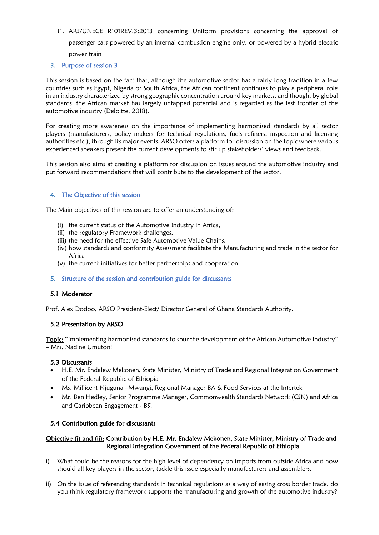11. ARS/UNECE R101REV.3:2013 concerning Uniform provisions concerning the approval of passenger cars powered by an internal combustion engine only, or powered by a hybrid electric power train

# 3. Purpose of session 3

This session is based on the fact that, although the automotive sector has a fairly long tradition in a few countries such as Egypt, Nigeria or South Africa, the African continent continues to play a peripheral role in an industry characterized by strong geographic concentration around key markets, and though, by global standards, the African market has largely untapped potential and is regarded as the last frontier of the automotive industry (Deloitte, 2018).

For creating more awareness on the importance of implementing harmonised standards by all sector players (manufacturers, policy makers for technical regulations, fuels refiners, inspection and licensing authorities etc.), through its major events, ARSO offers a platform for discussion on the topic where various experienced speakers present the current developments to stir up stakeholders' views and feedback.

This session also aims at creating a platform for discussion on issues around the automotive industry and put forward recommendations that will contribute to the development of the sector.

# 4. The Objective of this session

The Main objectives of this session are to offer an understanding of:

- (i) the current status of the Automotive Industry in Africa,
- (ii) the regulatory Framework challenges,
- (iii) the need for the effective Safe Automotive Value Chains,
- (iv) how standards and conformity Assessment facilitate the Manufacturing and trade in the sector for Africa
- (v) the current initiatives for better partnerships and cooperation.
- 5. Structure of the session and contribution guide for discussants

## 5.1 Moderator

Prof. Alex Dodoo, ARSO President-Elect/ Director General of Ghana Standards Authority.

## 5.2 Presentation by ARSO

Topic: "Implementing harmonised standards to spur the development of the African Automotive Industry" – Mrs. Nadine Umutoni

## 5.3 Discussants

- H.E. Mr. Endalew Mekonen, State Minister, Ministry of Trade and Regional Integration Government of the Federal Republic of Ethiopia
- Ms. Millicent Njuguna –Mwangi, Regional Manager BA & Food Services at the Intertek
- Mr. Ben Hedley, Senior Programme Manager, Commonwealth Standards Network (CSN) and Africa and Caribbean Engagement - BSI

## 5.4 Contribution guide for discussants

## Objective (i) and (ii): Contribution by H.E. Mr. Endalew Mekonen, State Minister, Ministry of Trade and Regional Integration Government of the Federal Republic of Ethiopia

- i) What could be the reasons for the high level of dependency on imports from outside Africa and how should all key players in the sector, tackle this issue especially manufacturers and assemblers.
- ii) On the issue of referencing standards in technical regulations as a way of easing cross border trade, do you think regulatory framework supports the manufacturing and growth of the automotive industry?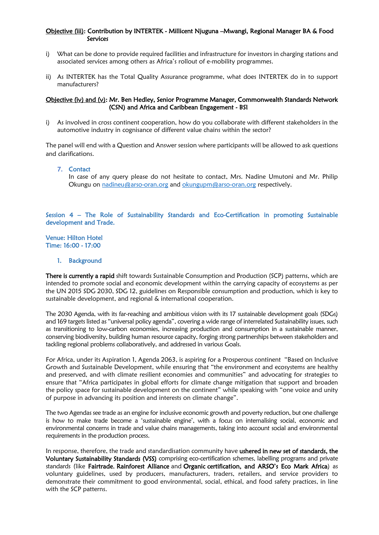## Objective (iii): Contribution by INTERTEK - Millicent Njuguna –Mwangi, Regional Manager BA & Food Services

- i) What can be done to provide required facilities and infrastructure for investors in charging stations and associated services among others as Africa's rollout of e-mobility programmes.
- ii) As INTERTEK has the Total Quality Assurance programme, what does INTERTEK do in to support manufacturers?

### Objective (iv) and (v): Mr. Ben Hedley, Senior Programme Manager, Commonwealth Standards Network (CSN) and Africa and Caribbean Engagement - BSI

i) As involved in cross continent cooperation, how do you collaborate with different stakeholders in the automotive industry in cognisance of different value chains within the sector?

The panel will end with a Question and Answer session where participants will be allowed to ask questions and clarifications.

#### 7. Contact

In case of any query please do not hesitate to contact, Mrs. Nadine Umutoni and Mr. Philip Okungu on [nadineu@arso-oran.org](mailto:nadineu@arso-oran.org) and [okungupm@arso-oran.org](mailto:okungupm@arso-oran.org) respectively.

### Session 4 – The Role of Sustainability Standards and Eco-Certification in promoting Sustainable development and Trade.

Venue: Hilton Hotel Time: 16:00 - 17:00

1. Background

There is currently a rapid shift towards Sustainable Consumption and Production (SCP) patterns, which are intended to promote social and economic development within the carrying capacity of ecosystems as per the UN 2015 SDG 2030, SDG 12, guidelines on Responsible consumption and production, which is key to sustainable development, and regional & international cooperation.

The 2030 Agenda, with its far-reaching and ambitious vision with its 17 sustainable development goals (SDGs) and 169 targets listed as "universal policy agenda", covering a wide range of interrelated Sustainability issues, such as transitioning to low-carbon economies, increasing production and consumption in a sustainable manner, conserving biodiversity, building human resource capacity, forging strong partnerships between stakeholders and tackling regional problems collaboratively, and addressed in various Goals.

For Africa, under its Aspiration 1, Agenda 2063, is aspiring for a Prosperous continent "Based on Inclusive Growth and Sustainable Development, while ensuring that "the environment and ecosystems are healthy and preserved, and with climate resilient economies and communities" and advocating for strategies to ensure that "Africa participates in global efforts for climate change mitigation that support and broaden the policy space for sustainable development on the continent" while speaking with "one voice and unity of purpose in advancing its position and interests on climate change".

The two Agendas see trade as an engine for inclusive economic growth and poverty reduction, but one challenge is how to make trade become a 'sustainable engine', with a focus on internalising social, economic and environmental concerns in trade and value chains managements, taking into account social and environmental requirements in the production process.

In response, therefore, the trade and standardisation community have **ushered in new set of standards, the** Voluntary Sustainability Standards (VSS) comprising eco-certification schemes, labelling programs and private standards (like Fairtrade, Rainforest Alliance and Organic certification, and ARSO's Eco Mark Africa) as voluntary guidelines, used by producers, manufacturers, traders, retailers, and service providers to demonstrate their commitment to good environmental, social, ethical, and food safety practices, in line with the SCP patterns.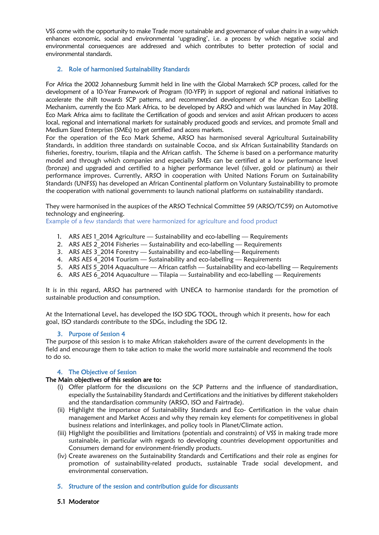VSS come with the opportunity to make Trade more sustainable and governance of value chains in a way which enhances economic, social and environmental 'upgrading', i.e. a process by which negative social and environmental consequences are addressed and which contributes to better protection of social and environmental standards.

## 2. Role of harmonised Sustainability Standards

For Africa the 2002 Johannesburg Summit held in line with the Global Marrakech SCP process, called for the development of a 10-Year Framework of Program (10-YFP) in support of regional and national initiatives to accelerate the shift towards SCP patterns, and recommended development of the African Eco Labelling Mechanism, currently the Eco Mark Africa, to be developed by ARSO and which was launched in May 2018. Eco Mark Africa aims to facilitate the Certification of goods and services and assist African producers to access local, regional and international markets for sustainably produced goods and services, and promote Small and Medium Sized Enterprises (SMEs) to get certified and access markets.

For the operation of the Eco Mark Scheme, ARSO has harmonised several Agricultural Sustainability Standards, in addition three standards on sustainable Cocoa, and six African Sustainability Standards on fisheries, forestry, tourism, tilapia and the African catfish. The Scheme is based on a performance maturity model and through which companies and especially SMEs can be certified at a low performance level (bronze) and upgraded and certified to a higher performance level (silver, gold or platinum) as their performance improves. Currently, ARSO in cooperation with United Nations Forum on Sustainability Standards (UNFSS) has developed an African Continental platform on Voluntary Sustainability to promote the cooperation with national governments to launch national platforms on sustainability standards.

They were harmonised in the auspices of the ARSO Technical Committee 59 (ARSO/TC59) on Automotive technology and engineering.

Example of a few standards that were harmonized for agriculture and food product

- 1. ARS AES 1 2014 Agriculture Sustainability and eco-labelling Requirements
- 2. ARS AES 2\_2014 Fisheries Sustainability and eco-labelling Requirements
- 3. ARS AES 3 2014 Forestry Sustainability and eco-labelling-Requirements
- 4. ARS AES  $4\overline{2}$  2014 Tourism Sustainability and eco-labelling Requirements
- 5. ARS AES  $5\overline{2}$  2014 Aquaculture African catfish Sustainability and eco-labelling Requirements
- 6. ARS AES 6 2014 Aquaculture Tilapia Sustainability and eco-labelling Requirements

It is in this regard, ARSO has partnered with UNECA to harmonise standards for the promotion of sustainable production and consumption.

At the International Level, has developed the ISO SDG TOOL, through which it presents, how for each goal, ISO standards contribute to the SDGs, including the SDG 12.

#### 3. Purpose of Session 4

The purpose of this session is to make African stakeholders aware of the current developments in the field and encourage them to take action to make the world more sustainable and recommend the tools to do so.

## 4. The Objective of Session

#### The Main objectives of this session are to:

- (i) Offer platform for the discussions on the SCP Patterns and the influence of standardisation, especially the Sustainability Standards and Certifications and the initiatives by different stakeholders and the standardisation community (ARSO, ISO and Fairtrade).
- (ii) Highlight the importance of Sustainability Standards and Eco- Certification in the value chain management and Market Access and why they remain key elements for competitiveness in global business relations and interlinkages, and policy tools in Planet/Climate action.
- (iii) Highlight the possibilities and limitations (potentials and constraints) of VSS in making trade more sustainable, in particular with regards to developing countries development opportunities and Consumers demand for environment-friendly products.
- (iv) Create awareness on the Sustainability Standards and Certifications and their role as engines for promotion of sustainability-related products, sustainable Trade social development, and environmental conservation.
- 5. Structure of the session and contribution guide for discussants
- 5.1 Moderator